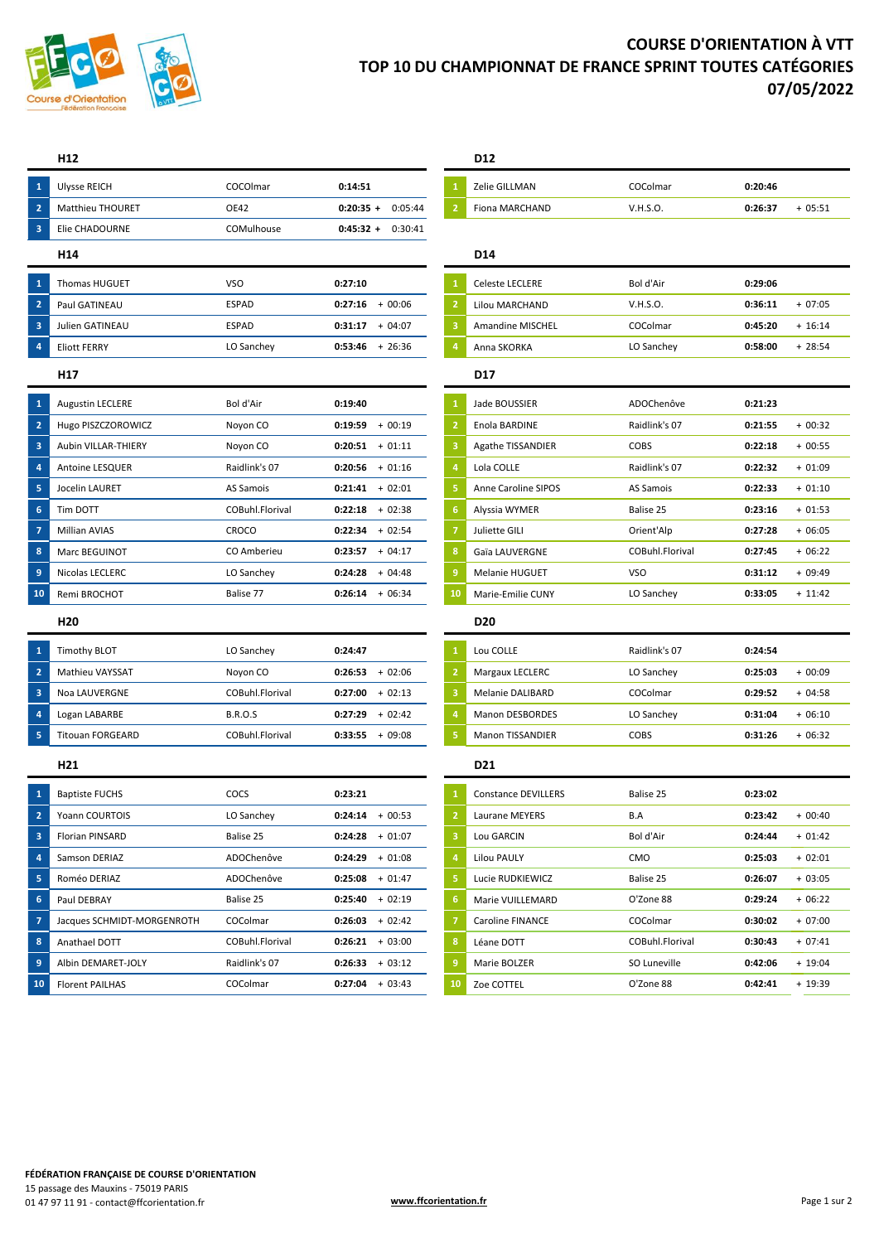

# **COURSE D'ORIENTATION À VTT TOP 10 DU CHAMPIONNAT DE FRANCE SPRINT TOUTES CATÉGORIES 07/05/2022**

|                         | H <sub>12</sub>         |                 |                                       | D <sub>12</sub>            |                 |         |           |
|-------------------------|-------------------------|-----------------|---------------------------------------|----------------------------|-----------------|---------|-----------|
| $\mathbf{1}$            | <b>Ulvsse REICH</b>     | COCOlmar        | 0:14:51                               | Zelie GILLMAN              | COColmar        | 0:20:46 |           |
| $\overline{2}$          | <b>Matthieu THOURET</b> | OE42            | $\overline{2}$<br>$0:20:35 + 0:05:44$ | Fiona MARCHAND             | V.H.S.O.        | 0:26:37 | $+05:51$  |
| $\overline{\mathbf{3}}$ | <b>Elie CHADOURNE</b>   | COMulhouse      | $0:45:32 +$<br>0:30:41                |                            |                 |         |           |
|                         | H <sub>14</sub>         |                 |                                       | D <sub>14</sub>            |                 |         |           |
| $\mathbf{1}$            | Thomas HUGUET           | <b>VSO</b>      | 0:27:10                               | <b>Celeste LECLERE</b>     | Bol d'Air       | 0:29:06 |           |
| $\overline{2}$          | Paul GATINEAU           | <b>ESPAD</b>    | $+00:06$<br>0:27:16                   | <b>Lilou MARCHAND</b>      | V.H.S.O.        | 0:36:11 | $+07:05$  |
| $\overline{\mathbf{3}}$ | Julien GATINEAU         | <b>ESPAD</b>    | $0:31:17 + 04:07$<br>3                | <b>Amandine MISCHEL</b>    | COColmar        | 0:45:20 | $+ 16:14$ |
| $\overline{4}$          | <b>Eliott FERRY</b>     | LO Sanchey      | $0:53:46$ + 26:36<br>$\overline{a}$   | Anna SKORKA                | LO Sanchey      | 0:58:00 | $+28:54$  |
|                         | H <sub>17</sub>         |                 |                                       | <b>D17</b>                 |                 |         |           |
| $\mathbf{1}$            | <b>Augustin LECLERE</b> | Bol d'Air       | 0:19:40                               | Jade BOUSSIER              | ADOChenôve      | 0:21:23 |           |
| $\overline{2}$          | Hugo PISZCZOROWICZ      | Noyon CO        | $\overline{2}$<br>0:19:59<br>$+00:19$ | Enola BARDINE              | Raidlink's 07   | 0:21:55 | $+00:32$  |
| $\overline{\mathbf{3}}$ | Aubin VILLAR-THIERY     | Novon CO        | $0:20:51 + 01:11$<br>-3               | <b>Agathe TISSANDIER</b>   | <b>COBS</b>     | 0:22:18 | $+00:55$  |
| $\overline{4}$          | Antoine LESQUER         | Raidlink's 07   | $0:20:56 + 01:16$<br>$\overline{a}$   | Lola COLLE                 | Raidlink's 07   | 0:22:32 | $+01:09$  |
| 5                       | Jocelin LAURET          | AS Samois       | $0:21:41 + 02:01$                     | <b>Anne Caroline SIPOS</b> | AS Samois       | 0:22:33 | $+01:10$  |
| $6\phantom{1}6$         | Tim DOTT                | COBuhl.Florival | $0:22:18 + 02:38$<br>6                | Alyssia WYMER              | Balise 25       | 0:23:16 | $+01:53$  |
| $\overline{7}$          | <b>Millian AVIAS</b>    | CROCO           | $0:22:34$ + 02:54                     | Juliette GILI              | Orient'Alp      | 0:27:28 | $+06:05$  |
| $\boldsymbol{8}$        | Marc BEGUINOT           | CO Amberieu     | $0:23:57 + 04:17$<br>8                | Gaïa LAUVERGNE             | COBuhl.Florival | 0:27:45 | $+06:22$  |
| 9                       | Nicolas LECLERC         | LO Sanchey      | $0:24:28 + 04:48$<br>9                | Melanie HUGUET             | <b>VSO</b>      | 0:31:12 | $+09:49$  |
| 10                      | Remi BROCHOT            | Balise 77       | $0:26:14 + 06:34$<br>10               | Marie-Emilie CUNY          | LO Sanchey      | 0:33:05 | $+ 11:42$ |
|                         |                         |                 |                                       |                            |                 |         |           |

| U 1                     | <b>Timothy BLOT</b>     | LO Sanchev      | 0:24:47             | Lou COLLE               | Raidlink's 07 | 0:24:54 |          |
|-------------------------|-------------------------|-----------------|---------------------|-------------------------|---------------|---------|----------|
| $\overline{2}$          | <b>Mathieu VAYSSAT</b>  | Novon CO        | $+02:06$<br>0:26:53 | Margaux LECLERC         | LO Sanchey    | 0:25:03 | $+00:09$ |
| $\overline{\mathbf{3}}$ | Noa LAUVERGNE           | COBuhl Florival | $+02:13$<br>0:27:00 | Melanie DALIBARD        | COColmar      | 0:29:52 | $+04:58$ |
| $\overline{a}$          | Logan LABARBE           | <b>B.R.O.S</b>  | 0:27:29<br>$+02:42$ | <b>Manon DESBORDES</b>  | LO Sanchey    | 0:31:04 | $+06:10$ |
| - 5                     | <b>Titouan FORGEARD</b> | COBuhl Florival | $+09:08$<br>0:33:55 | <b>Manon TISSANDIER</b> | <b>COBS</b>   | 0:31:26 | $+06:32$ |
|                         |                         |                 |                     |                         |               |         |          |

| $\overline{1}$          | <b>Baptiste FUCHS</b>      | <b>COCS</b>     | 0:23:21             |    | <b>Constance DEVILLERS</b> | Balise 25       | 0:23:02 |           |
|-------------------------|----------------------------|-----------------|---------------------|----|----------------------------|-----------------|---------|-----------|
| $\overline{\mathbf{2}}$ | Yoann COURTOIS             | LO Sanchey      | 0:24:14<br>$+00:53$ |    | Laurane MEYERS             | B.A             | 0:23:42 | $+00:40$  |
| $\overline{\mathbf{3}}$ | <b>Florian PINSARD</b>     | Balise 25       | 0:24:28<br>$+01:07$ |    | Lou GARCIN                 | Bol d'Air       | 0:24:44 | $+01:42$  |
| $\overline{4}$          | Samson DERIAZ              | ADOChenôve      | 0:24:29<br>$+01:08$ |    | <b>Lilou PAULY</b>         | <b>CMO</b>      | 0:25:03 | $+02:01$  |
| $\overline{5}$          | Roméo DERIAZ               | ADOChenôve      | 0:25:08<br>$+01:47$ |    | Lucie RUDKIEWICZ           | Balise 25       | 0:26:07 | $+03:05$  |
| 6                       | Paul DEBRAY                | Balise 25       | 0:25:40<br>$+02:19$ |    | Marie VUILLEMARD           | O'Zone 88       | 0:29:24 | $+06:22$  |
| $\sqrt{7}$              | Jacques SCHMIDT-MORGENROTH | COColmar        | $+02:42$<br>0:26:03 |    | <b>Caroline FINANCE</b>    | COColmar        | 0:30:02 | $+07:00$  |
| $\overline{\mathbf{8}}$ | Anathael DOTT              | COBuhl.Florival | 0:26:21<br>$+03:00$ | 8  | Léane DOTT                 | COBuhl.Florival | 0:30:43 | $+07:41$  |
| - 9                     | Albin DEMARET-JOLY         | Raidlink's 07   | $+03:12$<br>0:26:33 |    | Marie BOLZER               | SO Luneville    | 0:42:06 | $+ 19:04$ |
| 10 <sup>°</sup>         | <b>Florent PAILHAS</b>     | COColmar        | 0:27:04<br>$+03:43$ | 10 | Zoe COTTEL                 | O'Zone 88       | 0:42:41 | $+ 19:39$ |

| Zelie GILLMAN  | COColmar | 0:20:46 |          |
|----------------|----------|---------|----------|
| Fiona MARCHAND | V.H.S.O. | 0:26:37 | $+05:51$ |

|   | Celeste LECLERE         | Bol d'Air  | 0:29:06 |          |
|---|-------------------------|------------|---------|----------|
|   | Lilou MARCHAND          | V.H.S.O.   | 0:36:11 | $+07:05$ |
| 3 | <b>Amandine MISCHEL</b> | COColmar   | 0:45:20 | $+16:14$ |
| 4 | Anna SKORKA             | LO Sanchey | 0:58:00 | $+28:54$ |
|   |                         |            |         |          |

| 1              | Jade BOUSSIER            | ADOChenôve      | 0:21:23 |           |
|----------------|--------------------------|-----------------|---------|-----------|
| $\overline{2}$ | Enola BARDINE            | Raidlink's 07   | 0:21:55 | $+00:32$  |
| 3              | <b>Agathe TISSANDIER</b> | COBS            | 0:22:18 | $+00:55$  |
| 4              | Lola COLLE               | Raidlink's 07   | 0:22:32 | $+01:09$  |
| 5              | Anne Caroline SIPOS      | AS Samois       | 0:22:33 | $+01:10$  |
| 6              | Alyssia WYMER            | Balise 25       | 0:23:16 | $+01:53$  |
| $\overline{7}$ | Juliette GILI            | Orient'Alp      | 0:27:28 | $+06:05$  |
| 8              | Gaïa LAUVERGNE           | COBuhl.Florival | 0:27:45 | + 06:22   |
| $\overline{9}$ | Melanie HUGUET           | VSO             | 0:31:12 | $+09:49$  |
| 10             | Marie-Emilie CUNY        | LO Sanchev      | 0:33:05 | $+ 11:42$ |

## **H20 D20**

|                | Lou COLLE               | Raidlink's 07 | 0:24:54 |          |
|----------------|-------------------------|---------------|---------|----------|
| $\overline{2}$ | Margaux LECLERC         | LO Sanchey    | 0:25:03 | $+00:09$ |
| з              | Melanie DALIBARD        | COColmar      | 0:29:52 | $+04:58$ |
| 4              | <b>Manon DESBORDES</b>  | LO Sanchey    | 0:31:04 | $+06:10$ |
| Γ,             | <b>Manon TISSANDIER</b> | COBS          | 0:31:26 | $+06:32$ |

## **H21 D21**

| $\mathbf{1}$   | <b>Constance DEVILLERS</b> | Balise 25       | 0:23:02 |           |
|----------------|----------------------------|-----------------|---------|-----------|
| $\overline{2}$ | Laurane MEYERS             | B.A             | 0:23:42 | $+00:40$  |
| 3              | Lou GARCIN                 | Bol d'Air       | 0:24:44 | $+01:42$  |
| 4              | <b>Lilou PAULY</b>         | <b>CMO</b>      | 0:25:03 | $+02:01$  |
| 5              | Lucie RUDKIEWICZ           | Balise 25       | 0:26:07 | $+03:05$  |
| 6              | Marie VUILLEMARD           | O'Zone 88       | 0:29:24 | $+06:22$  |
| $\overline{7}$ | Caroline FINANCE           | COColmar        | 0:30:02 | $+07:00$  |
| 8              | Léane DOTT                 | COBuhl Florival | 0:30:43 | $+07:41$  |
| 9              | Marie BOLZER               | SO Luneville    | 0:42:06 | $+ 19:04$ |
| 10             | Zoe COTTEL                 | O'Zone 88       | 0:42:41 | $+19:39$  |